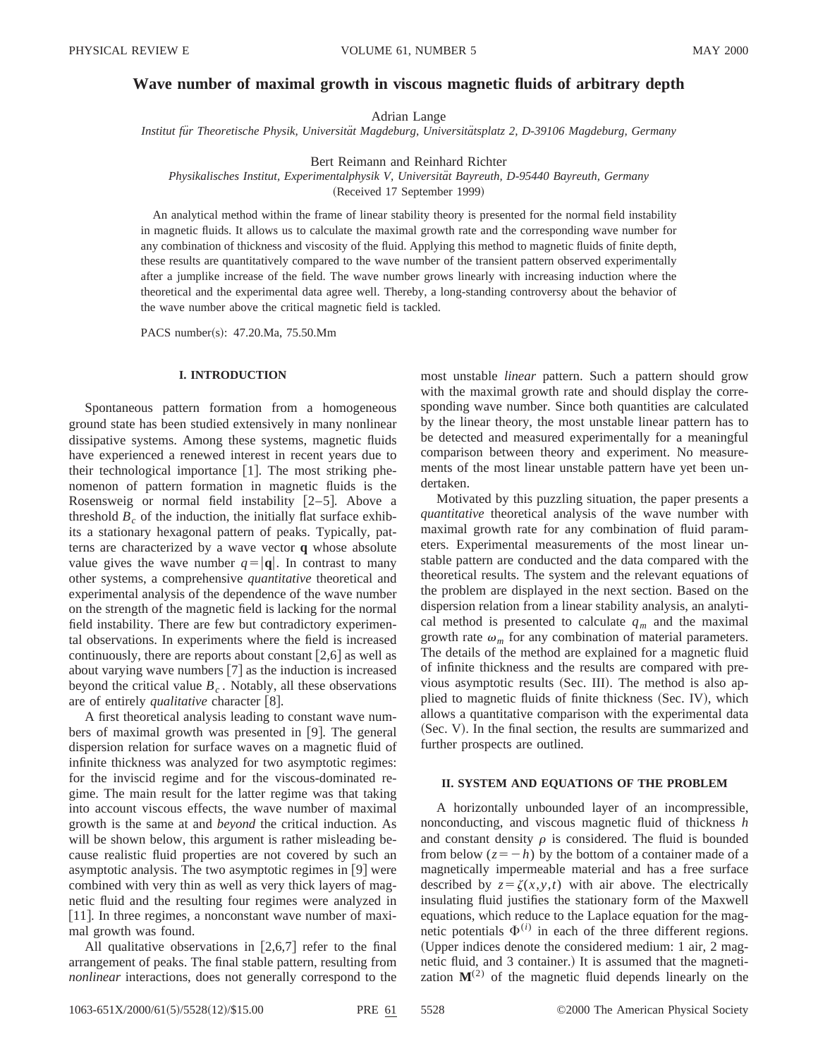# **Wave number of maximal growth in viscous magnetic fluids of arbitrary depth**

Adrian Lange

*Institut fu¨r Theoretische Physik, Universita¨t Magdeburg, Universita¨tsplatz 2, D-39106 Magdeburg, Germany*

Bert Reimann and Reinhard Richter

*Physikalisches Institut, Experimentalphysik V, Universita¨t Bayreuth, D-95440 Bayreuth, Germany*

(Received 17 September 1999)

An analytical method within the frame of linear stability theory is presented for the normal field instability in magnetic fluids. It allows us to calculate the maximal growth rate and the corresponding wave number for any combination of thickness and viscosity of the fluid. Applying this method to magnetic fluids of finite depth, these results are quantitatively compared to the wave number of the transient pattern observed experimentally after a jumplike increase of the field. The wave number grows linearly with increasing induction where the theoretical and the experimental data agree well. Thereby, a long-standing controversy about the behavior of the wave number above the critical magnetic field is tackled.

PACS number(s): 47.20.Ma, 75.50.Mm

## **I. INTRODUCTION**

Spontaneous pattern formation from a homogeneous ground state has been studied extensively in many nonlinear dissipative systems. Among these systems, magnetic fluids have experienced a renewed interest in recent years due to their technological importance  $[1]$ . The most striking phenomenon of pattern formation in magnetic fluids is the Rosensweig or normal field instability  $[2-5]$ . Above a threshold  $B<sub>c</sub>$  of the induction, the initially flat surface exhibits a stationary hexagonal pattern of peaks. Typically, patterns are characterized by a wave vector **q** whose absolute value gives the wave number  $q=|\mathbf{q}|$ . In contrast to many other systems, a comprehensive *quantitative* theoretical and experimental analysis of the dependence of the wave number on the strength of the magnetic field is lacking for the normal field instability. There are few but contradictory experimental observations. In experiments where the field is increased continuously, there are reports about constant  $[2,6]$  as well as about varying wave numbers  $[7]$  as the induction is increased beyond the critical value  $B_c$ . Notably, all these observations are of entirely *qualitative* character [8].

A first theoretical analysis leading to constant wave numbers of maximal growth was presented in  $[9]$ . The general dispersion relation for surface waves on a magnetic fluid of infinite thickness was analyzed for two asymptotic regimes: for the inviscid regime and for the viscous-dominated regime. The main result for the latter regime was that taking into account viscous effects, the wave number of maximal growth is the same at and *beyond* the critical induction. As will be shown below, this argument is rather misleading because realistic fluid properties are not covered by such an asymptotic analysis. The two asymptotic regimes in  $[9]$  were combined with very thin as well as very thick layers of magnetic fluid and the resulting four regimes were analyzed in [11]. In three regimes, a nonconstant wave number of maximal growth was found.

All qualitative observations in  $[2,6,7]$  refer to the final arrangement of peaks. The final stable pattern, resulting from *nonlinear* interactions, does not generally correspond to the most unstable *linear* pattern. Such a pattern should grow with the maximal growth rate and should display the corresponding wave number. Since both quantities are calculated by the linear theory, the most unstable linear pattern has to be detected and measured experimentally for a meaningful comparison between theory and experiment. No measurements of the most linear unstable pattern have yet been undertaken.

Motivated by this puzzling situation, the paper presents a *quantitative* theoretical analysis of the wave number with maximal growth rate for any combination of fluid parameters. Experimental measurements of the most linear unstable pattern are conducted and the data compared with the theoretical results. The system and the relevant equations of the problem are displayed in the next section. Based on the dispersion relation from a linear stability analysis, an analytical method is presented to calculate  $q_m$  and the maximal growth rate  $\omega_m$  for any combination of material parameters. The details of the method are explained for a magnetic fluid of infinite thickness and the results are compared with previous asymptotic results (Sec. III). The method is also applied to magnetic fluids of finite thickness (Sec. IV), which allows a quantitative comparison with the experimental data (Sec. V). In the final section, the results are summarized and further prospects are outlined.

### **II. SYSTEM AND EQUATIONS OF THE PROBLEM**

A horizontally unbounded layer of an incompressible, nonconducting, and viscous magnetic fluid of thickness *h* and constant density  $\rho$  is considered. The fluid is bounded from below  $(z=-h)$  by the bottom of a container made of a magnetically impermeable material and has a free surface described by  $z = \zeta(x, y, t)$  with air above. The electrically insulating fluid justifies the stationary form of the Maxwell equations, which reduce to the Laplace equation for the magnetic potentials  $\Phi^{(i)}$  in each of the three different regions. (Upper indices denote the considered medium: 1 air, 2 magnetic fluid, and 3 container.) It is assumed that the magnetization  $M^{(2)}$  of the magnetic fluid depends linearly on the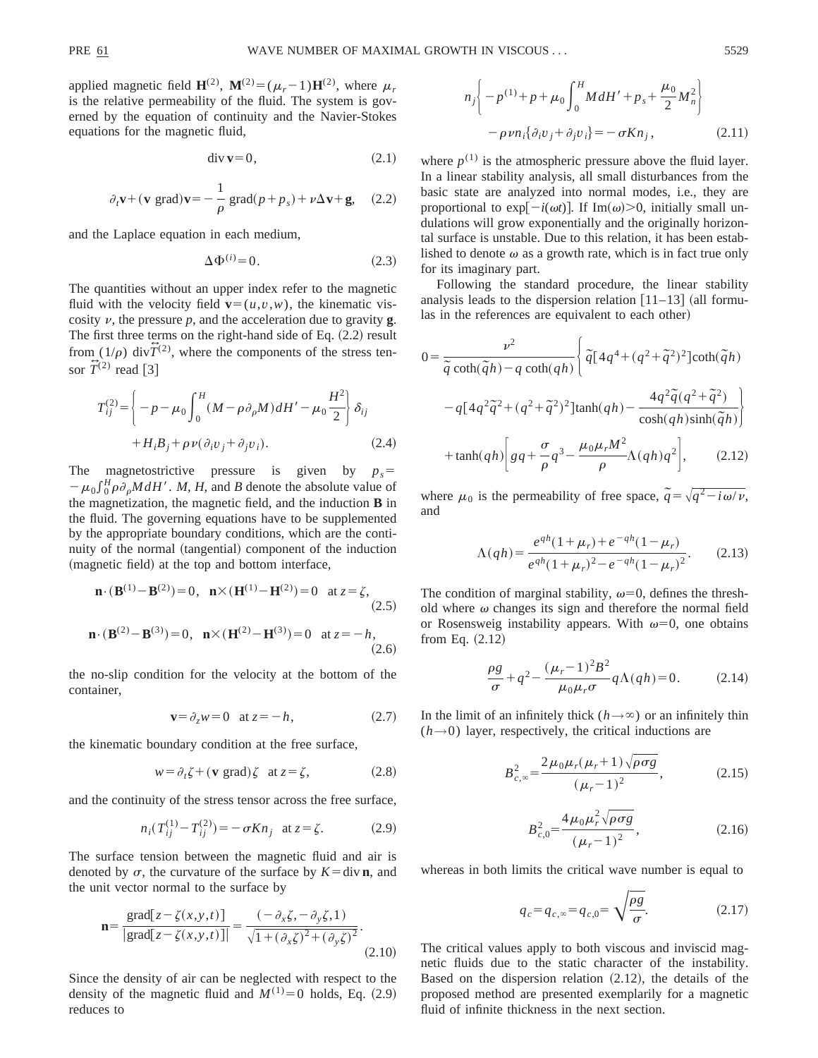applied magnetic field  $\mathbf{H}^{(2)}$ ,  $\mathbf{M}^{(2)} = (\mu_r - 1)\mathbf{H}^{(2)}$ , where  $\mu_r$ is the relative permeability of the fluid. The system is governed by the equation of continuity and the Navier-Stokes equations for the magnetic fluid,

$$
\text{div}\,\mathbf{v} = 0,\tag{2.1}
$$

$$
\partial_t \mathbf{v} + (\mathbf{v} \text{ grad}) \mathbf{v} = -\frac{1}{\rho} \text{ grad}(p + p_s) + \nu \Delta \mathbf{v} + \mathbf{g}, \quad (2.2)
$$

and the Laplace equation in each medium,

$$
\Delta \Phi^{(i)} = 0. \tag{2.3}
$$

The quantities without an upper index refer to the magnetic fluid with the velocity field  $\mathbf{v}=(u,v,w)$ , the kinematic viscosity  $\nu$ , the pressure  $p$ , and the acceleration due to gravity **g**. The first three terms on the right-hand side of Eq.  $(2.2)$  result from  $(1/\rho)$  div $\hat{T}^{(2)}$ , where the components of the stress tensor  $\widetilde{T}^{(2)}$  read [3]

$$
T_{ij}^{(2)} = \left\{ -p - \mu_0 \int_0^H (M - \rho \partial_\rho M) dH' - \mu_0 \frac{H^2}{2} \right\} \delta_{ij}
$$
  
+ 
$$
H_i B_j + \rho \nu (\partial_i v_j + \partial_j v_i).
$$
 (2.4)

The magnetostrictive pressure is given by  $p_s$ =  $-\mu_0 \int_0^H \rho \partial_\rho M dH'$ . *M*, *H*, and *B* denote the absolute value of the magnetization, the magnetic field, and the induction **B** in the fluid. The governing equations have to be supplemented by the appropriate boundary conditions, which are the continuity of the normal (tangential) component of the induction (magnetic field) at the top and bottom interface,

$$
\mathbf{n} \cdot (\mathbf{B}^{(1)} - \mathbf{B}^{(2)}) = 0, \quad \mathbf{n} \times (\mathbf{H}^{(1)} - \mathbf{H}^{(2)}) = 0 \quad \text{at } z = \zeta,
$$
\n
$$
\mathbf{n} \cdot (\mathbf{B}^{(2)} - \mathbf{B}^{(3)}) = 0, \quad \mathbf{n} \times (\mathbf{H}^{(2)} - \mathbf{H}^{(3)}) = 0 \quad \text{at } z = -h,
$$
\n
$$
(2.6)
$$

the no-slip condition for the velocity at the bottom of the container,

$$
\mathbf{v} = \partial_z w = 0 \quad \text{at } z = -h,\tag{2.7}
$$

the kinematic boundary condition at the free surface,

$$
w = \partial_t \zeta + (\mathbf{v} \text{ grad}) \zeta \text{ at } z = \zeta,
$$
 (2.8)

and the continuity of the stress tensor across the free surface,

$$
n_i(T_{ij}^{(1)} - T_{ij}^{(2)}) = -\sigma K n_j \text{ at } z = \zeta. \tag{2.9}
$$

The surface tension between the magnetic fluid and air is denoted by  $\sigma$ , the curvature of the surface by  $K=$  div **n**, and the unit vector normal to the surface by

$$
\mathbf{n} = \frac{\text{grad}[z - \zeta(x, y, t)]}{|\text{grad}[z - \zeta(x, y, t)]|} = \frac{(-\partial_x \zeta, -\partial_y \zeta, 1)}{\sqrt{1 + (\partial_x \zeta)^2 + (\partial_y \zeta)^2}}.
$$
(2.10)

Since the density of air can be neglected with respect to the density of the magnetic fluid and  $M^{(1)}=0$  holds, Eq.  $(2.9)$ reduces to

$$
n_j \left\{ -p^{(1)} + p + \mu_0 \int_0^H M dH' + p_s + \frac{\mu_0}{2} M_n^2 \right\}
$$
  

$$
- \rho \nu n_i \{ \partial_i v_j + \partial_j v_i \} = -\sigma K n_j, \qquad (2.11)
$$

where  $p^{(1)}$  is the atmospheric pressure above the fluid layer. In a linear stability analysis, all small disturbances from the basic state are analyzed into normal modes, i.e., they are proportional to  $\exp[-i(\omega t)]$ . If Im( $\omega$ ) > 0, initially small undulations will grow exponentially and the originally horizontal surface is unstable. Due to this relation, it has been established to denote  $\omega$  as a growth rate, which is in fact true only for its imaginary part.

Following the standard procedure, the linear stability analysis leads to the dispersion relation  $\lceil 11-13 \rceil$  (all formulas in the references are equivalent to each other)

$$
0 = \frac{\nu^2}{\tilde{q}\coth(\tilde{q}h) - q\coth(qh)} \left\{ \tilde{q}[4q^4 + (q^2 + \tilde{q}^2)^2] \coth(\tilde{q}h) \right\}
$$

$$
-q[4q^2\tilde{q}^2 + (q^2 + \tilde{q}^2)^2] \tanh(qh) - \frac{4q^2\tilde{q}(q^2 + \tilde{q}^2)}{\cosh(qh)\sinh(\tilde{q}h)} \right\}
$$

$$
+ \tanh(qh) \left[ gq + \frac{\sigma}{\rho} q^3 - \frac{\mu_0\mu_r M^2}{\rho} \Lambda(qh)q^2 \right], \qquad (2.12)
$$

where  $\mu_0$  is the permeability of free space,  $\tilde{q} = \sqrt{q^2 - i\omega/\nu}$ , and

$$
\Lambda(qh) = \frac{e^{qh}(1+\mu_r) + e^{-qh}(1-\mu_r)}{e^{qh}(1+\mu_r)^2 - e^{-qh}(1-\mu_r)^2}.
$$
 (2.13)

The condition of marginal stability,  $\omega=0$ , defines the threshold where  $\omega$  changes its sign and therefore the normal field or Rosensweig instability appears. With  $\omega=0$ , one obtains from Eq.  $(2.12)$ 

$$
\frac{\rho g}{\sigma} + q^2 - \frac{(\mu_r - 1)^2 B^2}{\mu_0 \mu_r \sigma} q \Lambda(qh) = 0.
$$
 (2.14)

In the limit of an infinitely thick  $(h \rightarrow \infty)$  or an infinitely thin  $(h\rightarrow 0)$  layer, respectively, the critical inductions are

$$
B_{c,\infty}^2 = \frac{2\mu_0\mu_r(\mu_r+1)\sqrt{\rho\sigma g}}{(\mu_r-1)^2},
$$
 (2.15)

$$
B_{c,0}^2 = \frac{4\mu_0 \mu_r^2 \sqrt{\rho \sigma g}}{(\mu_r - 1)^2},
$$
\n(2.16)

whereas in both limits the critical wave number is equal to

$$
q_c = q_{c,\infty} = q_{c,0} = \sqrt{\frac{\rho g}{\sigma}}.
$$
 (2.17)

The critical values apply to both viscous and inviscid magnetic fluids due to the static character of the instability. Based on the dispersion relation  $(2.12)$ , the details of the proposed method are presented exemplarily for a magnetic fluid of infinite thickness in the next section.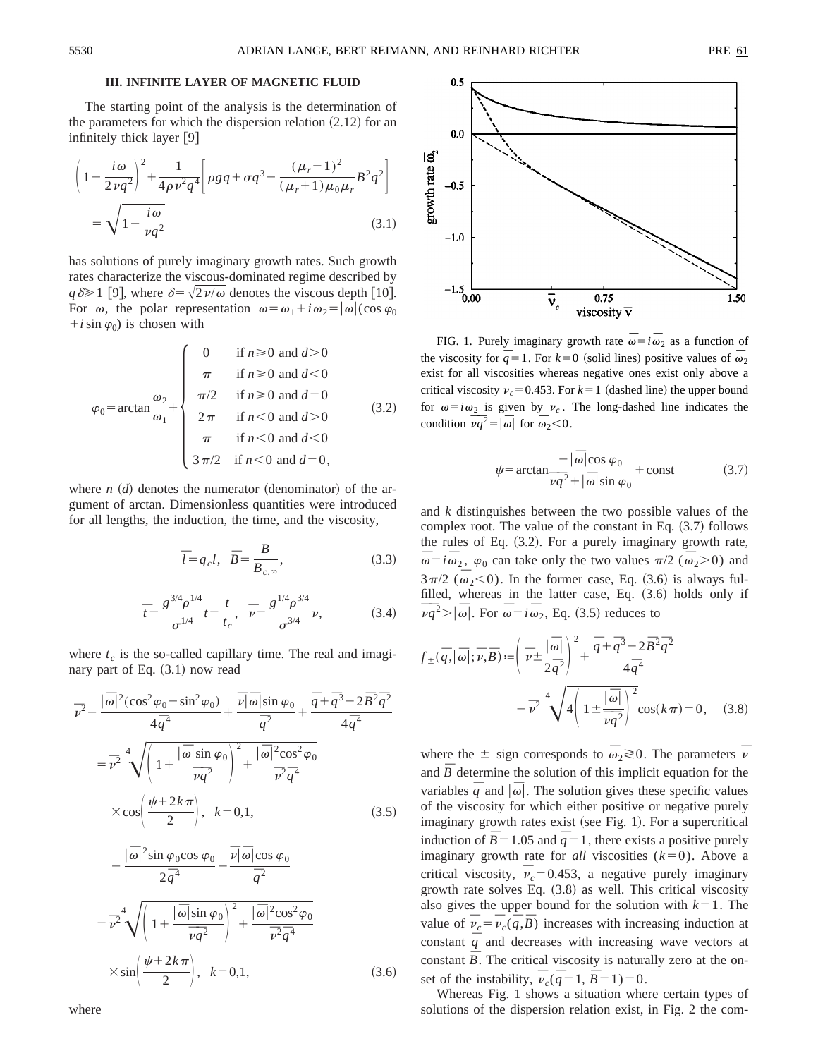## **III. INFINITE LAYER OF MAGNETIC FLUID**

The starting point of the analysis is the determination of the parameters for which the dispersion relation  $(2.12)$  for an infinitely thick layer  $[9]$ 

$$
\left(1 - \frac{i\omega}{2\nu q^2}\right)^2 + \frac{1}{4\rho\nu^2 q^4} \left[\rho g q + \sigma q^3 - \frac{(\mu_r - 1)^2}{(\mu_r + 1)\mu_0 \mu_r} B^2 q^2\right]
$$

$$
= \sqrt{1 - \frac{i\omega}{\nu q^2}} \tag{3.1}
$$

has solutions of purely imaginary growth rates. Such growth rates characterize the viscous-dominated regime described by  $q\delta \ge 1$  [9], where  $\delta = \sqrt{2 \nu/\omega}$  denotes the viscous depth [10]. For  $\omega$ , the polar representation  $\omega = \omega_1 + i \omega_2 = |\omega| (\cos \varphi_0)$  $+i \sin \varphi_0$ ) is chosen with

$$
\varphi_0 = \arctan \frac{\omega_2}{\omega_1} + \begin{cases}\n0 & \text{if } n \ge 0 \text{ and } d > 0 \\
\pi & \text{if } n \ge 0 \text{ and } d < 0 \\
\pi/2 & \text{if } n \ge 0 \text{ and } d = 0 \\
2\pi & \text{if } n < 0 \text{ and } d > 0 \\
\pi & \text{if } n < 0 \text{ and } d < 0 \\
3\pi/2 & \text{if } n < 0 \text{ and } d = 0,\n\end{cases}
$$
\n(3.2)

where  $n \cdot (d)$  denotes the numerator (denominator) of the argument of arctan. Dimensionless quantities were introduced for all lengths, the induction, the time, and the viscosity,

$$
\overline{l} = q_c l, \quad \overline{B} = \frac{B}{B_{c,\infty}},\tag{3.3}
$$

$$
\bar{t} = \frac{g^{3/4} \rho^{1/4}}{\sigma^{1/4}} t = \frac{t}{t_c}, \quad \bar{\nu} = \frac{g^{1/4} \rho^{3/4}}{\sigma^{3/4}} \nu,
$$
 (3.4)

where  $t_c$  is the so-called capillary time. The real and imaginary part of Eq.  $(3.1)$  now read

$$
\overline{\nu}^2 - \frac{|\overline{\omega}|^2(\cos^2 \varphi_0 - \sin^2 \varphi_0)}{4\overline{q}^4} + \frac{\overline{\nu}|\overline{\omega}|\sin \varphi_0}{\overline{q}^2} + \frac{\overline{q} + \overline{q}^3 - 2\overline{B}^2\overline{q}^2}{4\overline{q}^4}
$$

$$
= \overline{\nu}^2 \sqrt{\left(1 + \frac{|\overline{\omega}|\sin \varphi_0}{\overline{\nu}\overline{q}^2}\right)^2 + \frac{|\overline{\omega}|^2 \cos^2 \varphi_0}{\overline{\nu}^2\overline{q}^4}}
$$

$$
\times \cos\left(\frac{\psi + 2k\pi}{2}\right), \quad k = 0, 1,
$$
(3.5)

$$
-\frac{|\overline{\omega}|^2 \sin \varphi_0 \cos \varphi_0}{2\overline{q}^4} - \frac{\overline{\nu}|\overline{\omega}| \cos \varphi_0}{\overline{q}^2}
$$

$$
=\overline{\nu}^2 \sqrt{\left(1 + \frac{|\overline{\omega}| \sin \varphi_0}{\overline{\nu} \overline{q}^2}\right)^2 + \frac{|\overline{\omega}|^2 \cos^2 \varphi_0}{\overline{\nu}^2 \overline{q}^4}}
$$

$$
\times \sin \left(\frac{\psi + 2k\pi}{2}\right), \quad k = 0, 1,
$$
 (3.6)

where



FIG. 1. Purely imaginary growth rate  $\overline{\omega} = i \overline{\omega}_2$  as a function of the viscosity for  $\overline{q} = 1$ . For  $k = 0$  (solid lines) positive values of  $\overline{\omega}_2$ exist for all viscosities whereas negative ones exist only above a critical viscosity  $\overline{v}_c$  = 0.453. For  $k$  = 1 (dashed line) the upper bound for  $\overline{\omega} = i \overline{\omega}_2$  is given by  $\overline{\nu}_c$ . The long-dashed line indicates the condition  $\overline{\overline{v}q}^2 = |\overline{\omega}|$  for  $\overline{\omega}_2 < 0$ .

$$
\psi = \arctan \frac{-|\overline{\omega}|\cos \varphi_0}{\overline{\nu}\overline{q}^2 + |\overline{\omega}|\sin \varphi_0} + \text{const}
$$
 (3.7)

and *k* distinguishes between the two possible values of the complex root. The value of the constant in Eq.  $(3.7)$  follows the rules of Eq.  $(3.2)$ . For a purely imaginary growth rate,  $\overline{\omega} = i \overline{\omega}_2$ ,  $\varphi_0$  can take only the two values  $\pi/2$  ( $\overline{\omega}_2$ >0) and  $3\pi/2$  ( $\bar{\omega}_2$  < 0). In the former case, Eq. (3.6) is always fulfilled, whereas in the latter case, Eq.  $(3.6)$  holds only if  $\overline{v}\overline{q}^2$   $> |\overline{\omega}|$ . For  $\overline{\omega} = i\overline{\omega}_2$ , Eq. (3.5) reduces to

$$
f_{\pm}(\bar{q}, |\bar{\omega}|; \bar{\nu}, \bar{B}) := \left(\bar{\nu} \pm \frac{|\bar{\omega}|}{2\bar{q}^2}\right)^2 + \frac{\bar{q} + \bar{q}^3 - 2\bar{B}^2 \bar{q}^2}{4\bar{q}^4} - \bar{\nu}^2 \sqrt{4\left(1 \pm \frac{|\bar{\omega}|}{\bar{\nu}\bar{q}^2}\right)^2} \cos(k\pi) = 0, \quad (3.8)
$$

where the  $\pm$  sign corresponds to  $\bar{\omega}_2 \gtrless 0$ . The parameters  $\bar{\nu}$ and  $\overline{B}$  determine the solution of this implicit equation for the variables  $\bar{q}$  and  $|\bar{\omega}|$ . The solution gives these specific values of the viscosity for which either positive or negative purely imaginary growth rates exist (see Fig. 1). For a supercritical induction of  $\overline{B}$  = 1.05 and  $\overline{q}$  = 1, there exists a positive purely imaginary growth rate for *all* viscosities  $(k=0)$ . Above a critical viscosity,  $\bar{v}_c = 0.453$ , a negative purely imaginary growth rate solves Eq.  $(3.8)$  as well. This critical viscosity also gives the upper bound for the solution with  $k=1$ . The value of  $\overline{v}_c = \overline{v}_c(\overline{q}, \overline{B})$  increases with increasing induction at constant  $\overline{q}$  and decreases with increasing wave vectors at constant  $\overline{B}$ . The critical viscosity is naturally zero at the onset of the instability,  $\overline{v}_c(\overline{q} = 1, \overline{B} = 1) = 0$ .

Whereas Fig. 1 shows a situation where certain types of solutions of the dispersion relation exist, in Fig. 2 the com-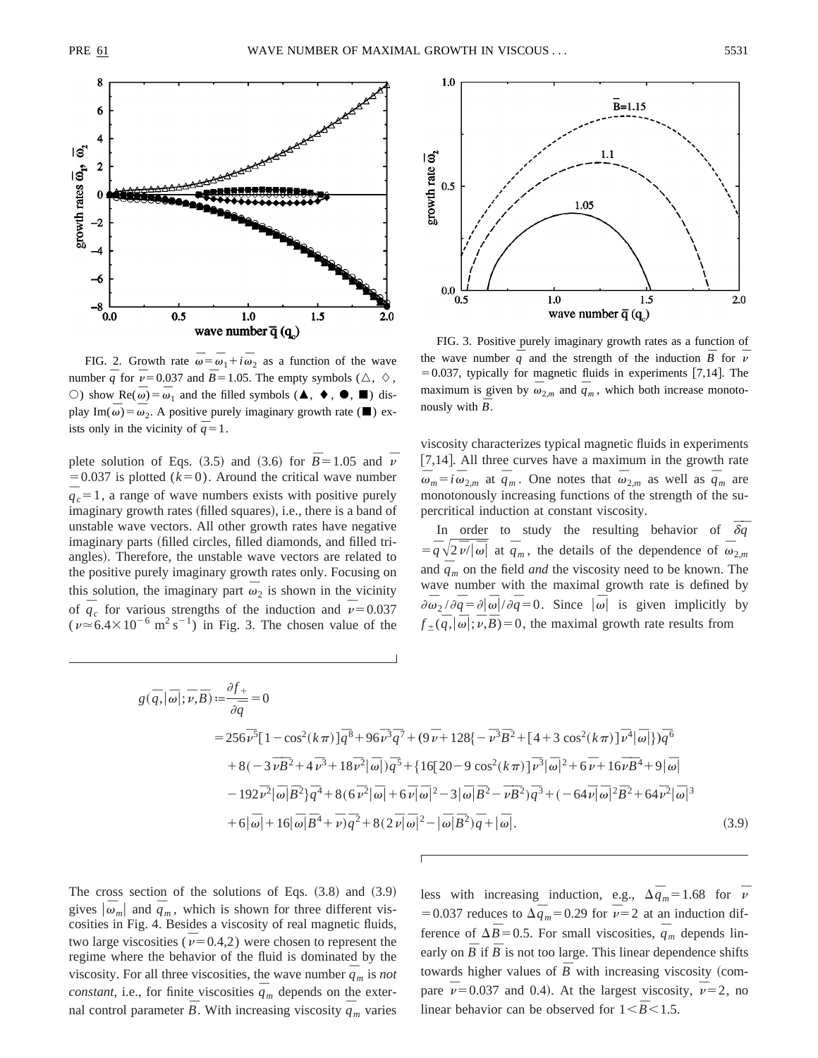

FIG. 2. Growth rate  $\overline{\omega} = \overline{\omega}_1 + i \overline{\omega}_2$  as a function of the wave number  $\overline{q}$  for  $\overline{v}$  = 0.037 and  $\overline{B}$  = 1.05. The empty symbols ( $\triangle$ ,  $\Diamond$ ,  $\circ$ ) show Re( $\overline{\omega}$ ) =  $\overline{\omega}$ <sub>1</sub> and the filled symbols (**Δ**, **♦**, **●**, **■**) display Im( $\bar{\omega}$ ) =  $\bar{\omega}_2$ . A positive purely imaginary growth rate ( $\blacksquare$ ) exists only in the vicinity of  $\overline{q} = 1$ .

plete solution of Eqs. (3.5) and (3.6) for  $\overline{B} = 1.05$  and  $\overline{v}$  $=0.037$  is plotted ( $k=0$ ). Around the critical wave number  $\overline{q}_c = 1$ , a range of wave numbers exists with positive purely imaginary growth rates (filled squares), i.e., there is a band of unstable wave vectors. All other growth rates have negative imaginary parts (filled circles, filled diamonds, and filled triangles). Therefore, the unstable wave vectors are related to the positive purely imaginary growth rates only. Focusing on this solution, the imaginary part  $\overline{\omega}_2$  is shown in the vicinity of  $\overline{q}_c$  for various strengths of the induction and  $\overline{\nu}$  = 0.037  $(\nu \approx 6.4 \times 10^{-6} \text{ m}^2 \text{ s}^{-1})$  in Fig. 3. The chosen value of the



FIG. 3. Positive purely imaginary growth rates as a function of the wave number  $\frac{1}{q}$  and the strength of the induction  $\overline{B}$  for  $\overline{v}$  $=0.037$ , typically for magnetic fluids in experiments [7,14]. The maximum is given by  $\bar{\omega}_{2,m}$  and  $\bar{q}_m$ , which both increase monotonously with  $\overline{B}$ .

viscosity characterizes typical magnetic fluids in experiments [7,14]. All three curves have a maximum in the growth rate  $\overline{\omega}_m = i \overline{\omega}_{2,m}$  at  $\overline{q}_m$ . One notes that  $\overline{\omega}_{2,m}$  as well as  $\overline{q}_m$  are monotonously increasing functions of the strength of the supercritical induction at constant viscosity.

In order to study the resulting behavior of  $\overline{\delta q}$  $= \overline{q}\sqrt{2\overline{\nu}/|\omega|}$  at  $\overline{q}_m$ , the details of the dependence of  $\overline{\omega}_{2,m}$ and  $\overline{q}_m$  on the field *and* the viscosity need to be known. The wave number with the maximal growth rate is defined by  $\partial \overline{\omega}_2 / \partial \overline{q} = \partial |\overline{\omega}| / \partial \overline{q} = 0$ . Since  $|\overline{\omega}|$  is given implicitly by  $f_{\pm}(\overline{q}, |\overline{\omega}|; \overline{v}, \overline{B}) = 0$ , the maximal growth rate results from

$$
g(\bar{q}, |\bar{\omega}|; \bar{\nu}, \bar{B}) := \frac{\partial f_{+}}{\partial \bar{q}} = 0
$$
  
= 256 $\bar{\nu}^{5}$ [1 - cos<sup>2</sup>( $k\pi$ )] $\bar{q}^{8}$ +96 $\bar{\nu}^{3}\bar{q}^{7}$ + (9 $\bar{\nu}$ +128{ $-\bar{\nu}^{3}\bar{B}^{2}$ +[4+3 cos<sup>2</sup>( $k\pi$ )] $\bar{\nu}^{4}$ | $\bar{\omega}$ |}) $\bar{q}^{6}$   
+8(-3 $\bar{\nu}\bar{B}^{2}$ +4 $\bar{\nu}^{3}$ +18 $\bar{\nu}^{2}$ | $\bar{\omega}$ |) $\bar{q}^{5}$ +{16[20-9 cos<sup>2</sup>( $k\pi$ )] $\bar{\nu}^{3}$ | $\bar{\omega}$ |<sup>2</sup>+6 $\bar{\nu}$ +16 $\bar{\nu}\bar{B}^{4}$ +9| $\bar{\omega}$ |  
-192 $\bar{\nu}^{2}$ | $\bar{\omega}$ | $\bar{B}^{2}$ } $\bar{q}^{4}$ +8(6 $\bar{\nu}^{2}$ | $\bar{\omega}$ |+6 $\bar{\nu}$ | $\bar{\omega}$ |<sup>2</sup>-3| $\bar{\omega}$ | $\bar{B}^{2}$ - $\bar{\nu}\bar{B}^{2}$ ) $\bar{q}^{3}$ +(-64 $\bar{\nu}$ | $\bar{\omega}$ |<sup>2</sup> $\bar{B}^{2}$ +64 $\bar{\nu}^{2}$ | $\bar{\omega}$ |<sup>3</sup>  
+6| $\bar{\omega}$ |+16| $\bar{\omega}$ | $\bar{B}^{4}$ + $\bar{\nu}$ ) $\bar{q}^{2}$ +8(2 $\bar{\nu}$ | $\bar{\omega}$ |<sup>2</sup>-| $\bar{\omega}$ | $\bar{B}^{2}$ ) $\bar{q}+$ | $\bar{\omega}$ ]. (3.9)

The cross section of the solutions of Eqs.  $(3.8)$  and  $(3.9)$ gives  $|\bar{\omega}_m|$  and  $\bar{q}_m$ , which is shown for three different viscosities in Fig. 4. Besides a viscosity of real magnetic fluids, two large viscosities  $(\bar{\nu}=0.4,2)$  were chosen to represent the regime where the behavior of the fluid is dominated by the viscosity. For all three viscosities, the wave number  $\overline{q}_m$  is *not constant*, i.e., for finite viscosities,  $\frac{1}{q_m}$  depends on the external control parameter  $\bar{B}$ . With increasing viscosity  $\bar{q}_m$  varies less with increasing induction, e.g.,  $\Delta \overline{q}_m = 1.68$  for  $\overline{v}$ =0.037 reduces to  $\Delta \overline{q}_m$ =0.29 for  $\overline{\nu}$  =2 at an induction difference of  $\Delta \overline{B} = 0.5$ . For small viscosities,  $\overline{q}_m$  depends linearly on  $\overline{B}$  if  $\overline{B}$  is not too large. This linear dependence shifts towards higher values of  $\overline{B}$  with increasing viscosity (compare  $\overline{v}$  = 0.037 and 0.4). At the largest viscosity,  $\overline{v}$  = 2, no linear behavior can be observed for  $1 < \overline{B} < 1.5$ .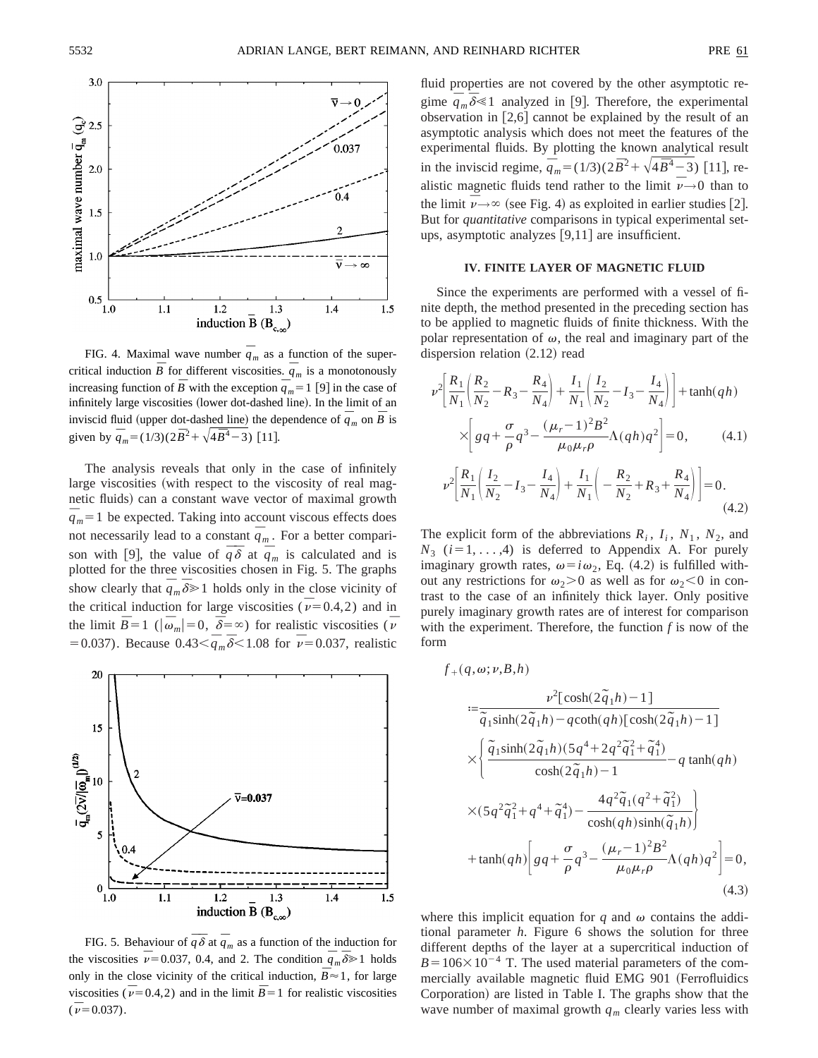

FIG. 4. Maximal wave number  $\overline{q}_m$  as a function of the supercritical induction  $\overline{B}$  for different viscosities.  $\overline{q}_m$  is a monotonously increasing function of  $\overline{B}$  with the exception  $\overline{q}_m = 1$  [9] in the case of infinitely large viscosities (lower dot-dashed line). In the limit of an inviscid fluid (upper dot-dashed line) the dependence of  $\overline{q}_m$  on  $\overline{B}$  is given by  $\overline{q}_m = (1/3)(2\overline{B}^2 + \sqrt{4\overline{B}^4 - 3})$  [11].

The analysis reveals that only in the case of infinitely large viscosities (with respect to the viscosity of real magnetic fluids) can a constant wave vector of maximal growth  $\frac{1}{q_m} = 1$  be expected. Taking into account viscous effects does not necessarily lead to a constant  $\overline{q}_m$ . For a better comparison with [9], the value of  $\overline{q} \overline{\delta}$  at  $\overline{q}_m$  is calculated and is plotted for the three viscosities chosen in Fig. 5. The graphs show clearly that  $\overline{\dot{q}}_m \overline{\delta} \ge 1$  holds only in the close vicinity of the critical induction for large viscosities ( $\bar{\nu}$ =0.4,2) and in the limit  $\bar{B} = 1$  ( $|\bar{\omega}_m| = 0$ ,  $\bar{\delta} = \infty$ ) for realistic viscosities ( $\bar{\nu}$  $= 0.037$ ). Because  $0.43 < \frac{1}{q_m} \sqrt[3]{\frac{1}{6}} < 1.08$  for  $\bar{\nu} = 0.037$ , realistic



FIG. 5. Behaviour of  $\bar{q} \bar{\delta}$  at  $\bar{q}_m$  as a function of the induction for the viscosities  $\overline{v}$  = 0.037, 0.4, and 2. The condition  $\overline{q}_m \overline{\delta} \ge 1$  holds only in the close vicinity of the critical induction,  $\overline{B} \approx 1$ , for large viscosities ( $\overline{v}$ =0.4,2) and in the limit  $\overline{B}$ =1 for realistic viscosities  $(\bar{v} = 0.037).$ 

fluid properties are not covered by the other asymptotic regime  $\overline{q}_m \overline{\delta} \le 1$  analyzed in [9]. Therefore, the experimental observation in  $[2,6]$  cannot be explained by the result of an asymptotic analysis which does not meet the features of the experimental fluids. By plotting the known analytical result in the inviscid regime,  $\overline{\dot{q}}_m = (1/3)(2\overline{B}^2 + \sqrt{4\overline{B}^4 - 3})$  [11], realistic magnetic fluids tend rather to the limit  $\overline{v} \rightarrow 0$  than to the limit  $\overline{\nu} \rightarrow \infty$  (see Fig. 4) as exploited in earlier studies [2]. But for *quantitative* comparisons in typical experimental setups, asymptotic analyzes  $[9,11]$  are insufficient.

#### **IV. FINITE LAYER OF MAGNETIC FLUID**

Since the experiments are performed with a vessel of finite depth, the method presented in the preceding section has to be applied to magnetic fluids of finite thickness. With the polar representation of  $\omega$ , the real and imaginary part of the dispersion relation  $(2.12)$  read

$$
\nu^{2} \left[ \frac{R_{1}}{N_{1}} \left( \frac{R_{2}}{N_{2}} - R_{3} - \frac{R_{4}}{N_{4}} \right) + \frac{I_{1}}{N_{1}} \left( \frac{I_{2}}{N_{2}} - I_{3} - \frac{I_{4}}{N_{4}} \right) \right] + \tanh(qh)
$$
  
\n
$$
\times \left[ gq + \frac{\sigma}{\rho} q^{3} - \frac{(\mu_{r} - 1)^{2} B^{2}}{\mu_{0} \mu_{r} \rho} \Lambda(qh) q^{2} \right] = 0, \qquad (4.1)
$$
  
\n
$$
\nu^{2} \left[ \frac{R_{1}}{N_{1}} \left( \frac{I_{2}}{N_{2}} - I_{3} - \frac{I_{4}}{N_{4}} \right) + \frac{I_{1}}{N_{1}} \left( -\frac{R_{2}}{N_{2}} + R_{3} + \frac{R_{4}}{N_{4}} \right) \right] = 0.
$$
  
\n(4.2)

The explicit form of the abbreviations  $R_i$ ,  $I_i$ ,  $N_1$ ,  $N_2$ , and  $N_3$  ( $i=1, \ldots, 4$ ) is deferred to Appendix A. For purely imaginary growth rates,  $\omega = i\omega_2$ , Eq. (4.2) is fulfilled without any restrictions for  $\omega_2$ >0 as well as for  $\omega_2$ <0 in contrast to the case of an infinitely thick layer. Only positive purely imaginary growth rates are of interest for comparison with the experiment. Therefore, the function *f* is now of the form

$$
f_{+}(q, \omega; \nu, B, h)
$$
\n
$$
:= \frac{\nu^{2}[\cosh(2\tilde{q}_{1}h) - 1]}{\tilde{q}_{1}\sinh(2\tilde{q}_{1}h) - q\coth(qh)[\cosh(2\tilde{q}_{1}h) - 1]}
$$
\n
$$
\times \left\{ \frac{\tilde{q}_{1}\sinh(2\tilde{q}_{1}h)(5q^{4} + 2q^{2}\tilde{q}_{1}^{2} + \tilde{q}_{1}^{4})}{\cosh(2\tilde{q}_{1}h) - 1} - q\tanh(qh) \right\}
$$
\n
$$
\times (5q^{2}\tilde{q}_{1}^{2} + q^{4} + \tilde{q}_{1}^{4}) - \frac{4q^{2}\tilde{q}_{1}(q^{2} + \tilde{q}_{1}^{2})}{\cosh(qh)\sinh(\tilde{q}_{1}h)} \right\}
$$
\n
$$
+ \tanh(qh) \left[ g q + \frac{\sigma}{\rho} q^{3} - \frac{(\mu_{r} - 1)^{2}B^{2}}{\mu_{0}\mu_{r}\rho} \Lambda(qh)q^{2} \right] = 0,
$$
\n(4.3)

where this implicit equation for  $q$  and  $\omega$  contains the additional parameter *h*. Figure 6 shows the solution for three different depths of the layer at a supercritical induction of  $B=106\times10^{-4}$  T. The used material parameters of the commercially available magnetic fluid EMG 901 (Ferrofluidics Corporation) are listed in Table I. The graphs show that the wave number of maximal growth  $q_m$  clearly varies less with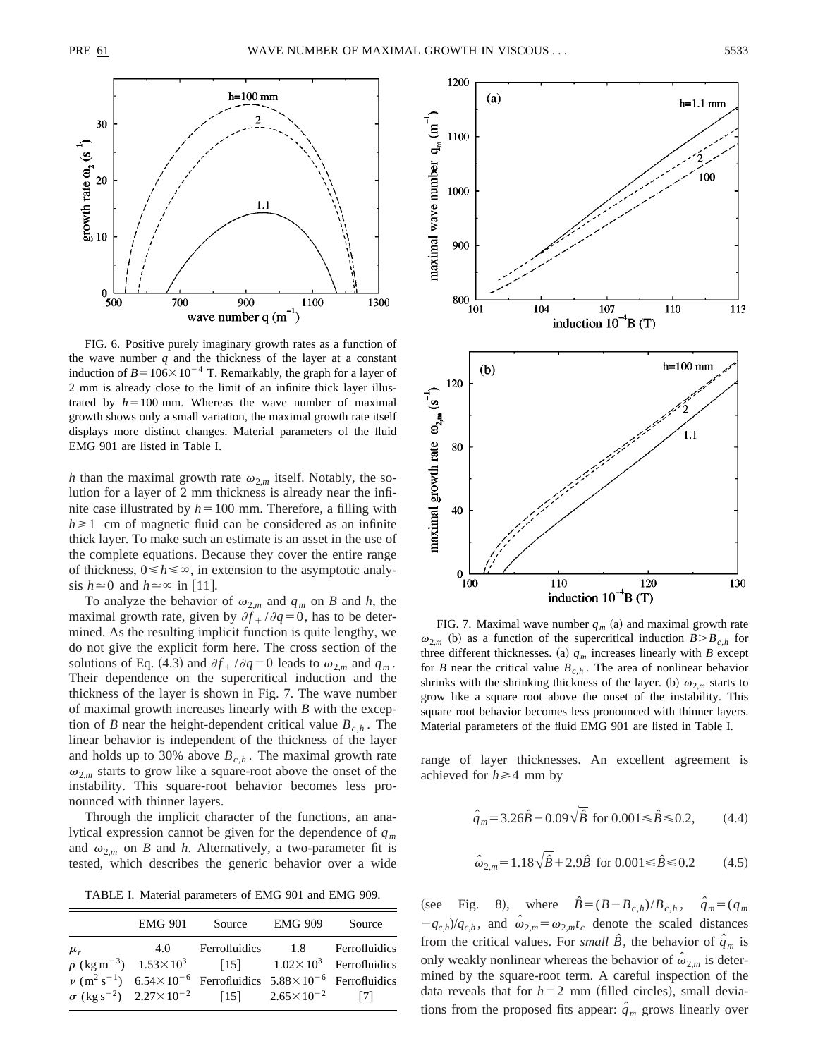

FIG. 6. Positive purely imaginary growth rates as a function of the wave number  $q$  and the thickness of the layer at a constant induction of  $B=106\times10^{-4}$  T. Remarkably, the graph for a layer of 2 mm is already close to the limit of an infinite thick layer illustrated by  $h=100$  mm. Whereas the wave number of maximal growth shows only a small variation, the maximal growth rate itself displays more distinct changes. Material parameters of the fluid EMG 901 are listed in Table I.

*h* than the maximal growth rate  $\omega_{2,m}$  itself. Notably, the solution for a layer of 2 mm thickness is already near the infinite case illustrated by  $h=100$  mm. Therefore, a filling with  $h \geq 1$  cm of magnetic fluid can be considered as an infinite thick layer. To make such an estimate is an asset in the use of the complete equations. Because they cover the entire range of thickness,  $0 \le h \le \infty$ , in extension to the asymptotic analysis  $h \approx 0$  and  $h \approx \infty$  in [11].

To analyze the behavior of  $\omega_{2,m}$  and  $q_m$  on *B* and *h*, the maximal growth rate, given by  $\partial f_+ / \partial q = 0$ , has to be determined. As the resulting implicit function is quite lengthy, we do not give the explicit form here. The cross section of the solutions of Eq. (4.3) and  $\partial f + \partial q = 0$  leads to  $\omega_{2,m}$  and  $q_m$ . Their dependence on the supercritical induction and the thickness of the layer is shown in Fig. 7. The wave number of maximal growth increases linearly with *B* with the exception of *B* near the height-dependent critical value  $B_{c,h}$ . The linear behavior is independent of the thickness of the layer and holds up to 30% above  $B_{c,h}$ . The maximal growth rate  $\omega_{2,m}$  starts to grow like a square-root above the onset of the instability. This square-root behavior becomes less pronounced with thinner layers.

Through the implicit character of the functions, an analytical expression cannot be given for the dependence of *qm* and  $\omega_{2,m}$  on *B* and *h*. Alternatively, a two-parameter fit is tested, which describes the generic behavior over a wide

TABLE I. Material parameters of EMG 901 and EMG 909.

|         | <b>EMG 901</b>                                             | Source                                                                                                          | <b>EMG 909</b> | Source                                |
|---------|------------------------------------------------------------|-----------------------------------------------------------------------------------------------------------------|----------------|---------------------------------------|
| $\mu_r$ | 4.0                                                        | Ferrofluidics 1.8                                                                                               |                | Ferrofluidics                         |
|         | $\rho$ (kg m <sup>-3</sup> ) 1.53 $\times$ 10 <sup>3</sup> |                                                                                                                 |                | [15] $1.02 \times 10^3$ Ferrofluidics |
|         |                                                            | $\nu$ (m <sup>2</sup> s <sup>-1</sup> ) 6.54×10 <sup>-6</sup> Ferrofluidics 5.88×10 <sup>-6</sup> Ferrofluidics |                |                                       |
|         |                                                            | $\sigma$ (kg s <sup>-2</sup> ) $2.27 \times 10^{-2}$ [15] $2.65 \times 10^{-2}$                                 |                | 7                                     |



FIG. 7. Maximal wave number  $q_m$  (a) and maximal growth rate  $\omega_{2,m}$  (b) as a function of the supercritical induction  $B > B_{c,h}$  for three different thicknesses. (a)  $q_m$  increases linearly with *B* except for *B* near the critical value  $B_{c,h}$ . The area of nonlinear behavior shrinks with the shrinking thickness of the layer. (b)  $\omega_{2,m}$  starts to grow like a square root above the onset of the instability. This square root behavior becomes less pronounced with thinner layers. Material parameters of the fluid EMG 901 are listed in Table I.

range of layer thicknesses. An excellent agreement is achieved for  $h \geq 4$  mm by

$$
\hat{q}_m = 3.26\hat{B} - 0.09\sqrt{\hat{B}} \text{ for } 0.001 \le \hat{B} \le 0.2, \quad (4.4)
$$

$$
\hat{\omega}_{2,m} = 1.18\sqrt{\hat{B}} + 2.9\hat{B} \text{ for } 0.001 \le \hat{B} \le 0.2 \quad (4.5)
$$

 $(\text{see Fig. 8}), \text{where } \hat{B} = (B - B_{c,h})/B_{c,h}, \hat{q}_m = (q_m)$  $-q_{c,h}/q_{c,h}$ , and  $\hat{\omega}_{2,m} = \omega_{2,m}t_c$  denote the scaled distances from the critical values. For *small*  $\hat{B}$ , the behavior of  $\hat{q}_m$  is only weakly nonlinear whereas the behavior of  $\hat{\omega}_{2,m}$  is determined by the square-root term. A careful inspection of the data reveals that for  $h=2$  mm (filled circles), small deviations from the proposed fits appear:  $\hat{q}_m$  grows linearly over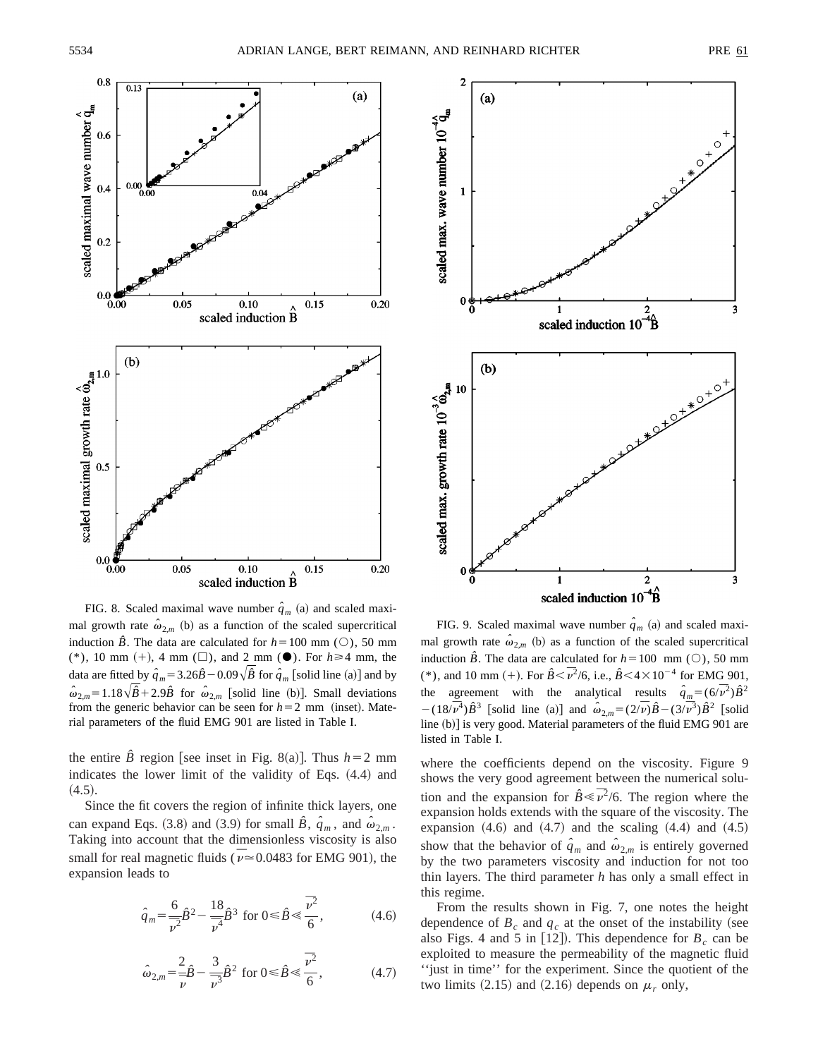

FIG. 8. Scaled maximal wave number  $\hat{q}_m$  (a) and scaled maximal growth rate  $\hat{\omega}_{2,m}$  (b) as a function of the scaled supercritical induction  $\hat{B}$ . The data are calculated for  $h=100$  mm ( $\circ$ ), 50 mm (\*), 10 mm (+), 4 mm ( $\Box$ ), and 2 mm ( $\bullet$ ). For  $h \ge 4$  mm, the data are fitted by  $\hat{q}_m = 3.26\hat{B} - 0.09\sqrt{\hat{B}}$  for  $\hat{q}_m$  [solid line (a)] and by  $\hat{\omega}_{2,m} = 1.18\sqrt{\hat{B}+2.9\hat{B}}$  for  $\hat{\omega}_{2,m}$  [solid line (b)]. Small deviations from the generic behavior can be seen for  $h=2$  mm (inset). Material parameters of the fluid EMG 901 are listed in Table I.

the entire  $\hat{B}$  region [see inset in Fig. 8(a)]. Thus  $h=2$  mm indicates the lower limit of the validity of Eqs.  $(4.4)$  and  $(4.5).$ 

Since the fit covers the region of infinite thick layers, one can expand Eqs. (3.8) and (3.9) for small  $\hat{B}$ ,  $\hat{q}_m$ , and  $\hat{\omega}_{2,m}$ . Taking into account that the dimensionless viscosity is also small for real magnetic fluids ( $\bar{\nu}$   $\approx$  0.0483 for EMG 901), the expansion leads to

$$
\hat{q}_m = \frac{6}{\bar{\nu}^2} \hat{B}^2 - \frac{18}{\bar{\nu}^4} \hat{B}^3 \text{ for } 0 \le \hat{B} \le \frac{\bar{\nu}^2}{6},\tag{4.6}
$$

$$
\hat{\omega}_{2,m} = \frac{2}{\bar{\nu}} \hat{B} - \frac{3}{\bar{\nu}^3} \hat{B}^2 \text{ for } 0 \le \hat{B} \le \frac{\bar{\nu}^2}{6}, \tag{4.7}
$$



FIG. 9. Scaled maximal wave number  $\hat{q}_m$  (a) and scaled maximal growth rate  $\hat{\omega}_{2,m}$  (b) as a function of the scaled supercritical induction  $\hat{B}$ . The data are calculated for  $h=100$  mm ( $\circ$ ), 50 mm (\*), and 10 mm (+). For  $\hat{B} < \bar{\nu}^2/6$ , i.e.,  $\hat{B} < 4 \times 10^{-4}$  for EMG 901, the agreement with the analytical results  $\hat{q}_m = (6/\bar{v}^2)\hat{B}^2$  $-(18/\overline{v}^4)\hat{B}^3$  [solid line (a)] and  $\hat{\omega}_{2,m} = (2/\overline{v})\hat{B} - (3/\overline{v}^3)\hat{B}^2$  [solid line (b)] is very good. Material parameters of the fluid EMG 901 are listed in Table I.

where the coefficients depend on the viscosity. Figure 9 shows the very good agreement between the numerical solution and the expansion for  $\hat{B} \leq \bar{\nu}^2/6$ . The region where the expansion holds extends with the square of the viscosity. The expansion  $(4.6)$  and  $(4.7)$  and the scaling  $(4.4)$  and  $(4.5)$ show that the behavior of  $\hat{q}_m$  and  $\hat{\omega}_{2,m}$  is entirely governed by the two parameters viscosity and induction for not too thin layers. The third parameter *h* has only a small effect in this regime.

From the results shown in Fig. 7, one notes the height dependence of  $B_c$  and  $q_c$  at the onset of the instability (see also Figs. 4 and 5 in [12]). This dependence for  $B_c$  can be exploited to measure the permeability of the magnetic fluid ''just in time'' for the experiment. Since the quotient of the two limits  $(2.15)$  and  $(2.16)$  depends on  $\mu_r$  only,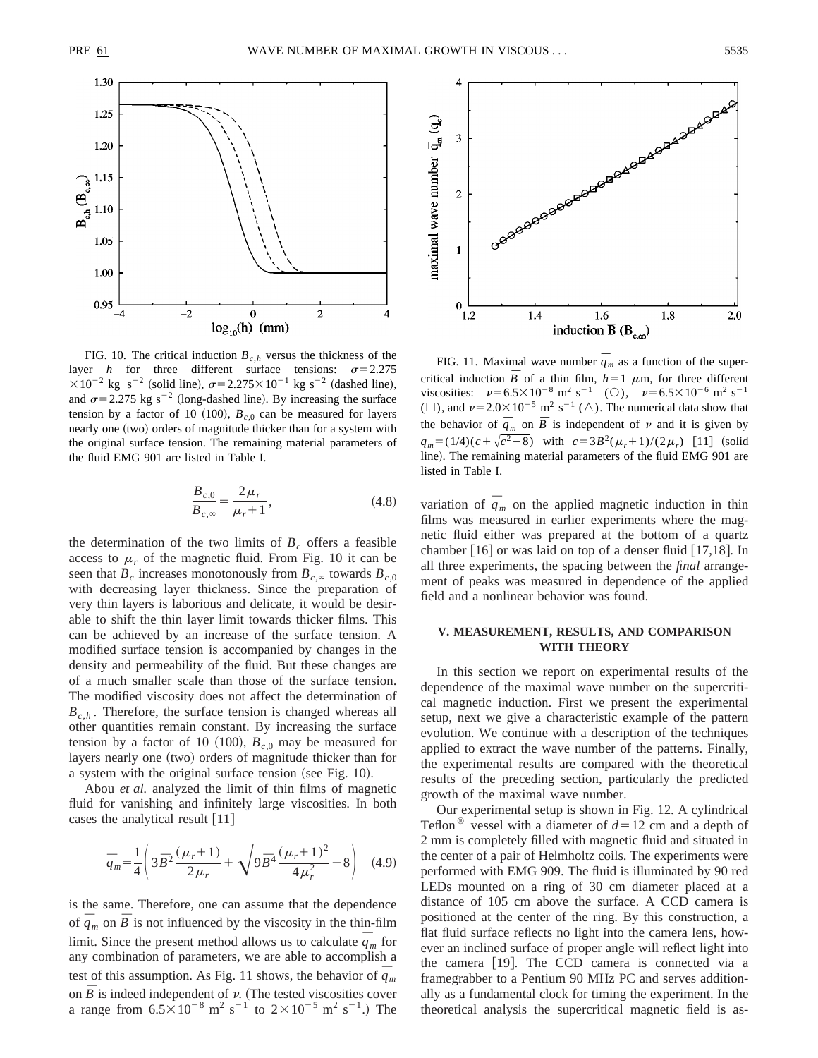

FIG. 10. The critical induction  $B_{ch}$  versus the thickness of the layer *h* for three different surface tensions:  $\sigma = 2.275$  $\times 10^{-2}$  kg s<sup>-2</sup> (solid line),  $\sigma$ =2.275 $\times 10^{-1}$  kg s<sup>-2</sup> (dashed line), and  $\sigma$ =2.275 kg s<sup>-2</sup> (long-dashed line). By increasing the surface tension by a factor of 10 (100),  $B_{c,0}$  can be measured for layers nearly one (two) orders of magnitude thicker than for a system with the original surface tension. The remaining material parameters of the fluid EMG 901 are listed in Table I.

$$
\frac{B_{c,0}}{B_{c,\infty}} = \frac{2\,\mu_r}{\mu_r + 1},\tag{4.8}
$$

the determination of the two limits of  $B_c$  offers a feasible access to  $\mu_r$  of the magnetic fluid. From Fig. 10 it can be seen that  $B_c$  increases monotonously from  $B_{c,\infty}$  towards  $B_{c,0}$ with decreasing layer thickness. Since the preparation of very thin layers is laborious and delicate, it would be desirable to shift the thin layer limit towards thicker films. This can be achieved by an increase of the surface tension. A modified surface tension is accompanied by changes in the density and permeability of the fluid. But these changes are of a much smaller scale than those of the surface tension. The modified viscosity does not affect the determination of  $B_{c,h}$ . Therefore, the surface tension is changed whereas all other quantities remain constant. By increasing the surface tension by a factor of 10 (100),  $B_{c,0}$  may be measured for layers nearly one (two) orders of magnitude thicker than for a system with the original surface tension (see Fig. 10).

Abou *et al.* analyzed the limit of thin films of magnetic fluid for vanishing and infinitely large viscosities. In both cases the analytical result  $[11]$ 

$$
\bar{q}_m = \frac{1}{4} \left( 3 \bar{B}^2 \frac{(\mu_r + 1)}{2 \mu_r} + \sqrt{9 \bar{B}^4 \frac{(\mu_r + 1)^2}{4 \mu_r^2} - 8} \right) \quad (4.9)
$$

is the same. Therefore, one can assume that the dependence of  $\overline{q}_m$  on  $\overline{B}$  is not influenced by the viscosity in the thin-film limit. Since the present method allows us to calculate  $\overline{q}_m$  for any combination of parameters, we are able to accomplish a test of this assumption. As Fig. 11 shows, the behavior of  $\bar{q}_m$ on  $\overline{B}$  is indeed independent of  $\nu$ . (The tested viscosities cover a range from  $6.5 \times 10^{-8}$  m<sup>2</sup> s<sup>-1</sup> to  $2 \times 10^{-5}$  m<sup>2</sup> s<sup>-1</sup>.) The



FIG. 11. Maximal wave number  $\overline{q}_m$  as a function of the supercritical induction  $\overline{B}$  of a thin film,  $h=1$   $\mu$ m, for three different viscosities:  $v=6.5\times10^{-8} \text{ m}^2 \text{ s}^{-1}$  (O),  $v=6.5\times10^{-6} \text{ m}^2 \text{ s}^{-1}$ ( $\Box$ ), and  $\nu$  = 2.0 $\times$  10<sup>-5</sup> m<sup>2</sup> s<sup>-1</sup> ( $\triangle$ ). The numerical data show that the behavior of  $\overline{q}_m$  on  $\overline{B}$  is independent of  $\nu$  and it is given by  $\bar{q}_m = (1/4)(c + \sqrt{c^2 - 8})$  with  $c = 3\bar{B}^2(\mu_r + 1)/(2\mu_r)$  [11] (solid line). The remaining material parameters of the fluid EMG 901 are listed in Table I.

variation of  $\bar{q}_m$  on the applied magnetic induction in thin films was measured in earlier experiments where the magnetic fluid either was prepared at the bottom of a quartz chamber  $[16]$  or was laid on top of a denser fluid  $[17,18]$ . In all three experiments, the spacing between the *final* arrangement of peaks was measured in dependence of the applied field and a nonlinear behavior was found.

# **V. MEASUREMENT, RESULTS, AND COMPARISON WITH THEORY**

In this section we report on experimental results of the dependence of the maximal wave number on the supercritical magnetic induction. First we present the experimental setup, next we give a characteristic example of the pattern evolution. We continue with a description of the techniques applied to extract the wave number of the patterns. Finally, the experimental results are compared with the theoretical results of the preceding section, particularly the predicted growth of the maximal wave number.

Our experimental setup is shown in Fig. 12. A cylindrical Teflon<sup>®</sup> vessel with a diameter of  $d=12$  cm and a depth of 2 mm is completely filled with magnetic fluid and situated in the center of a pair of Helmholtz coils. The experiments were performed with EMG 909. The fluid is illuminated by 90 red LEDs mounted on a ring of 30 cm diameter placed at a distance of 105 cm above the surface. A CCD camera is positioned at the center of the ring. By this construction, a flat fluid surface reflects no light into the camera lens, however an inclined surface of proper angle will reflect light into the camera  $[19]$ . The CCD camera is connected via a framegrabber to a Pentium 90 MHz PC and serves additionally as a fundamental clock for timing the experiment. In the theoretical analysis the supercritical magnetic field is as-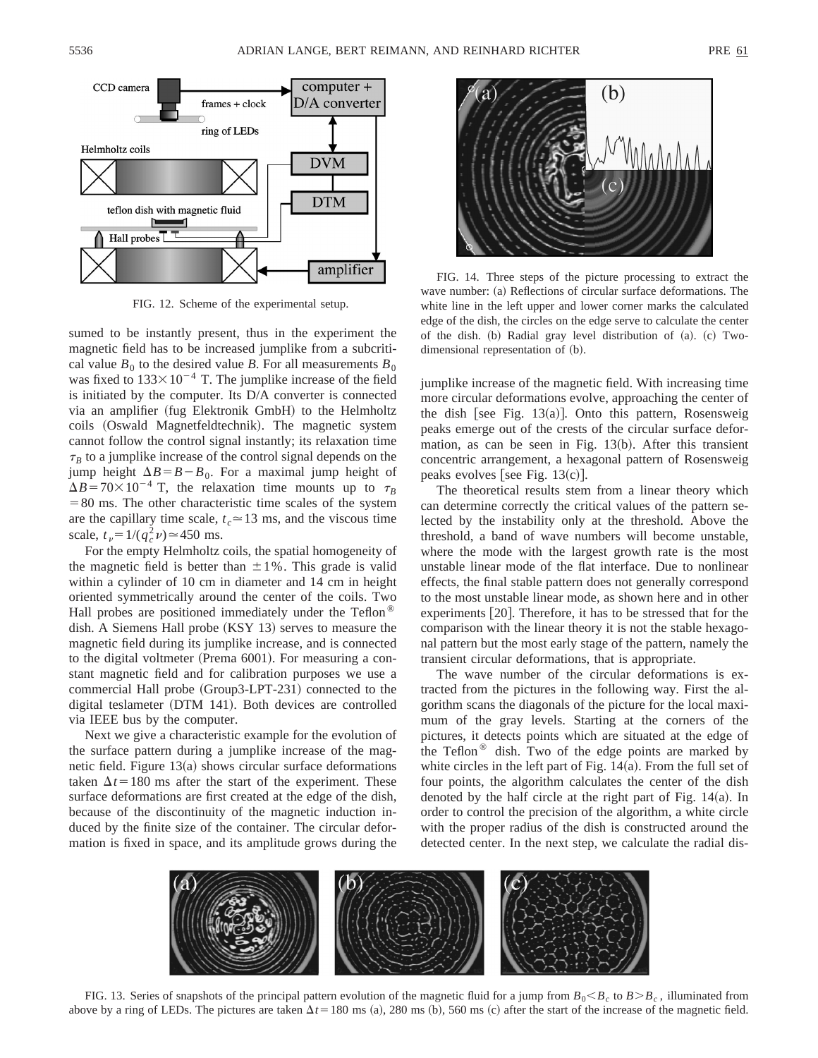

FIG. 12. Scheme of the experimental setup.

sumed to be instantly present, thus in the experiment the magnetic field has to be increased jumplike from a subcritical value  $B_0$  to the desired value *B*. For all measurements  $B_0$ was fixed to  $133 \times 10^{-4}$  T. The jumplike increase of the field is initiated by the computer. Its D/A converter is connected via an amplifier (fug Elektronik GmbH) to the Helmholtz coils (Oswald Magnetfeldtechnik). The magnetic system cannot follow the control signal instantly; its relaxation time  $\tau_B$  to a jumplike increase of the control signal depends on the jump height  $\Delta B = B - B_0$ . For a maximal jump height of  $\Delta B = 70 \times 10^{-4}$  T, the relaxation time mounts up to  $\tau_B$  $=80$  ms. The other characteristic time scales of the system are the capillary time scale,  $t_c \approx 13$  ms, and the viscous time scale,  $t_v = 1/(q_c^2 \nu) \approx 450$  ms.

For the empty Helmholtz coils, the spatial homogeneity of the magnetic field is better than  $\pm 1\%$ . This grade is valid within a cylinder of 10 cm in diameter and 14 cm in height oriented symmetrically around the center of the coils. Two Hall probes are positioned immediately under the Teflon<sup>®</sup> dish. A Siemens Hall probe (KSY 13) serves to measure the magnetic field during its jumplike increase, and is connected to the digital voltmeter (Prema 6001). For measuring a constant magnetic field and for calibration purposes we use a commercial Hall probe (Group3-LPT-231) connected to the digital teslameter (DTM 141). Both devices are controlled via IEEE bus by the computer.

Next we give a characteristic example for the evolution of the surface pattern during a jumplike increase of the magnetic field. Figure  $13(a)$  shows circular surface deformations taken  $\Delta t$ =180 ms after the start of the experiment. These surface deformations are first created at the edge of the dish, because of the discontinuity of the magnetic induction induced by the finite size of the container. The circular deformation is fixed in space, and its amplitude grows during the



FIG. 14. Three steps of the picture processing to extract the wave number: (a) Reflections of circular surface deformations. The white line in the left upper and lower corner marks the calculated edge of the dish, the circles on the edge serve to calculate the center of the dish.  $(b)$  Radial gray level distribution of  $(a)$ .  $(c)$  Twodimensional representation of (b).

jumplike increase of the magnetic field. With increasing time more circular deformations evolve, approaching the center of the dish [see Fig. 13 $(a)$ ]. Onto this pattern, Rosensweig peaks emerge out of the crests of the circular surface deformation, as can be seen in Fig.  $13(b)$ . After this transient concentric arrangement, a hexagonal pattern of Rosensweig peaks evolves [see Fig.  $13(c)$ ].

The theoretical results stem from a linear theory which can determine correctly the critical values of the pattern selected by the instability only at the threshold. Above the threshold, a band of wave numbers will become unstable, where the mode with the largest growth rate is the most unstable linear mode of the flat interface. Due to nonlinear effects, the final stable pattern does not generally correspond to the most unstable linear mode, as shown here and in other experiments  $[20]$ . Therefore, it has to be stressed that for the comparison with the linear theory it is not the stable hexagonal pattern but the most early stage of the pattern, namely the transient circular deformations, that is appropriate.

The wave number of the circular deformations is extracted from the pictures in the following way. First the algorithm scans the diagonals of the picture for the local maximum of the gray levels. Starting at the corners of the pictures, it detects points which are situated at the edge of the Teflon<sup> $\circledast$ </sup> dish. Two of the edge points are marked by white circles in the left part of Fig.  $14(a)$ . From the full set of four points, the algorithm calculates the center of the dish denoted by the half circle at the right part of Fig.  $14(a)$ . In order to control the precision of the algorithm, a white circle with the proper radius of the dish is constructed around the detected center. In the next step, we calculate the radial dis-



FIG. 13. Series of snapshots of the principal pattern evolution of the magnetic fluid for a jump from  $B_0 < B_c$ , to  $B > B_c$ , illuminated from above by a ring of LEDs. The pictures are taken  $\Delta t = 180 \text{ ms } (a)$ , 280 ms (b), 560 ms (c) after the start of the increase of the magnetic field.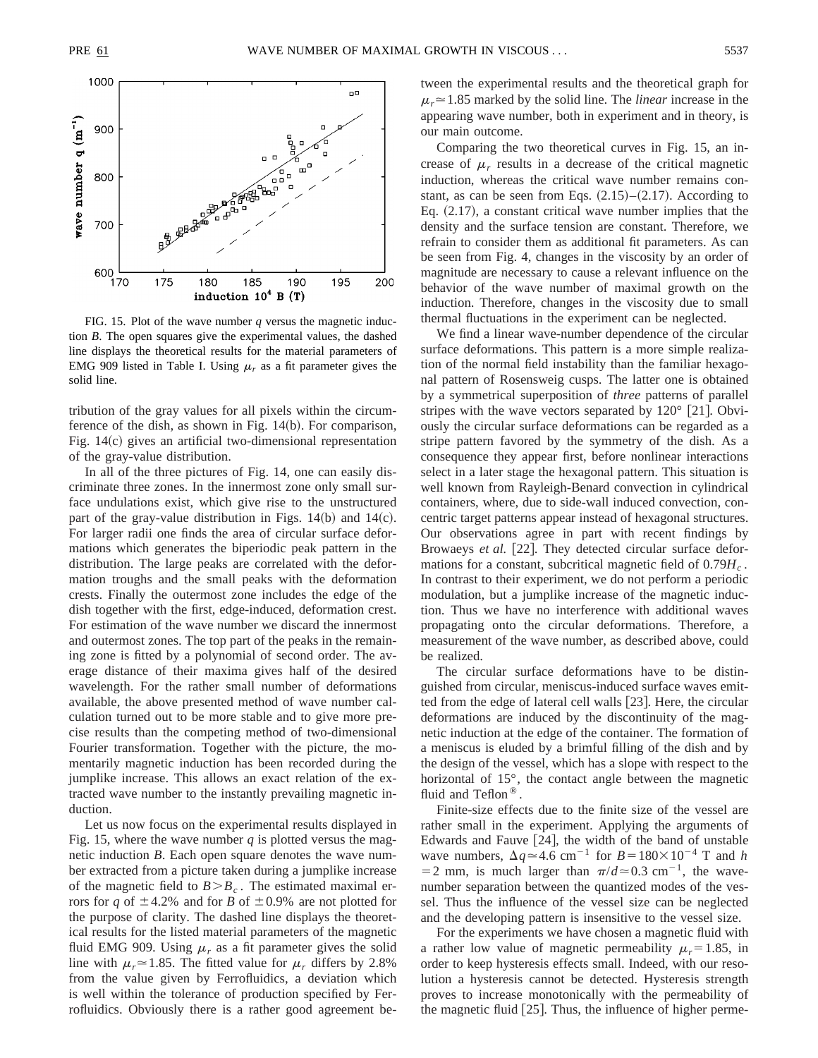

FIG. 15. Plot of the wave number *q* versus the magnetic induction *B*. The open squares give the experimental values, the dashed line displays the theoretical results for the material parameters of EMG 909 listed in Table I. Using  $\mu_r$  as a fit parameter gives the solid line.

tribution of the gray values for all pixels within the circumference of the dish, as shown in Fig.  $14(b)$ . For comparison, Fig.  $14(c)$  gives an artificial two-dimensional representation of the gray-value distribution.

In all of the three pictures of Fig. 14, one can easily discriminate three zones. In the innermost zone only small surface undulations exist, which give rise to the unstructured part of the gray-value distribution in Figs.  $14(b)$  and  $14(c)$ . For larger radii one finds the area of circular surface deformations which generates the biperiodic peak pattern in the distribution. The large peaks are correlated with the deformation troughs and the small peaks with the deformation crests. Finally the outermost zone includes the edge of the dish together with the first, edge-induced, deformation crest. For estimation of the wave number we discard the innermost and outermost zones. The top part of the peaks in the remaining zone is fitted by a polynomial of second order. The average distance of their maxima gives half of the desired wavelength. For the rather small number of deformations available, the above presented method of wave number calculation turned out to be more stable and to give more precise results than the competing method of two-dimensional Fourier transformation. Together with the picture, the momentarily magnetic induction has been recorded during the jumplike increase. This allows an exact relation of the extracted wave number to the instantly prevailing magnetic induction.

Let us now focus on the experimental results displayed in Fig. 15, where the wave number  $q$  is plotted versus the magnetic induction *B*. Each open square denotes the wave number extracted from a picture taken during a jumplike increase of the magnetic field to  $B > B_c$ . The estimated maximal errors for *q* of  $\pm$  4.2% and for *B* of  $\pm$  0.9% are not plotted for the purpose of clarity. The dashed line displays the theoretical results for the listed material parameters of the magnetic fluid EMG 909. Using  $\mu_r$  as a fit parameter gives the solid line with  $\mu_r$  = 1.85. The fitted value for  $\mu_r$  differs by 2.8% from the value given by Ferrofluidics, a deviation which is well within the tolerance of production specified by Ferrofluidics. Obviously there is a rather good agreement between the experimental results and the theoretical graph for  $\mu_r$   $\approx$  1.85 marked by the solid line. The *linear* increase in the appearing wave number, both in experiment and in theory, is our main outcome.

Comparing the two theoretical curves in Fig. 15, an increase of  $\mu_r$  results in a decrease of the critical magnetic induction, whereas the critical wave number remains constant, as can be seen from Eqs.  $(2.15)$ – $(2.17)$ . According to Eq.  $(2.17)$ , a constant critical wave number implies that the density and the surface tension are constant. Therefore, we refrain to consider them as additional fit parameters. As can be seen from Fig. 4, changes in the viscosity by an order of magnitude are necessary to cause a relevant influence on the behavior of the wave number of maximal growth on the induction. Therefore, changes in the viscosity due to small thermal fluctuations in the experiment can be neglected.

We find a linear wave-number dependence of the circular surface deformations. This pattern is a more simple realization of the normal field instability than the familiar hexagonal pattern of Rosensweig cusps. The latter one is obtained by a symmetrical superposition of *three* patterns of parallel stripes with the wave vectors separated by  $120^{\circ}$  [21]. Obviously the circular surface deformations can be regarded as a stripe pattern favored by the symmetry of the dish. As a consequence they appear first, before nonlinear interactions select in a later stage the hexagonal pattern. This situation is well known from Rayleigh-Benard convection in cylindrical containers, where, due to side-wall induced convection, concentric target patterns appear instead of hexagonal structures. Our observations agree in part with recent findings by Browaeys *et al.* [22]. They detected circular surface deformations for a constant, subcritical magnetic field of  $0.79H_c$ . In contrast to their experiment, we do not perform a periodic modulation, but a jumplike increase of the magnetic induction. Thus we have no interference with additional waves propagating onto the circular deformations. Therefore, a measurement of the wave number, as described above, could be realized.

The circular surface deformations have to be distinguished from circular, meniscus-induced surface waves emitted from the edge of lateral cell walls  $[23]$ . Here, the circular deformations are induced by the discontinuity of the magnetic induction at the edge of the container. The formation of a meniscus is eluded by a brimful filling of the dish and by the design of the vessel, which has a slope with respect to the horizontal of 15°, the contact angle between the magnetic fluid and Teflon<sup>®</sup>.

Finite-size effects due to the finite size of the vessel are rather small in the experiment. Applying the arguments of Edwards and Fauve  $[24]$ , the width of the band of unstable wave numbers,  $\Delta q \approx 4.6$  cm<sup>-1</sup> for  $B = 180 \times 10^{-4}$  T and *h*  $=$  2 mm, is much larger than  $\pi$ /*d* $\approx$  0.3 cm<sup>-1</sup>, the wavenumber separation between the quantized modes of the vessel. Thus the influence of the vessel size can be neglected and the developing pattern is insensitive to the vessel size.

For the experiments we have chosen a magnetic fluid with a rather low value of magnetic permeability  $\mu_r = 1.85$ , in order to keep hysteresis effects small. Indeed, with our resolution a hysteresis cannot be detected. Hysteresis strength proves to increase monotonically with the permeability of the magnetic fluid  $[25]$ . Thus, the influence of higher perme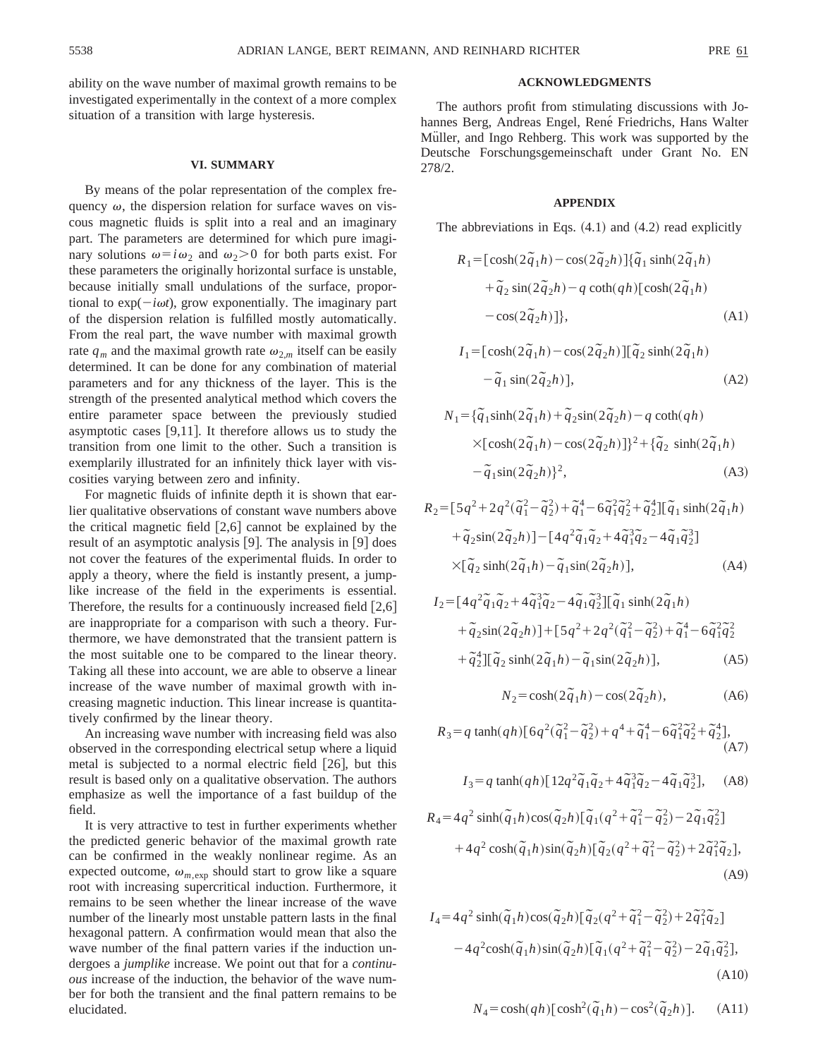ability on the wave number of maximal growth remains to be investigated experimentally in the context of a more complex situation of a transition with large hysteresis.

### **VI. SUMMARY**

By means of the polar representation of the complex frequency  $\omega$ , the dispersion relation for surface waves on viscous magnetic fluids is split into a real and an imaginary part. The parameters are determined for which pure imaginary solutions  $\omega = i\omega_2$  and  $\omega_2 > 0$  for both parts exist. For these parameters the originally horizontal surface is unstable, because initially small undulations of the surface, proportional to  $exp(-i\omega t)$ , grow exponentially. The imaginary part of the dispersion relation is fulfilled mostly automatically. From the real part, the wave number with maximal growth rate  $q_m$  and the maximal growth rate  $\omega_{2,m}$  itself can be easily determined. It can be done for any combination of material parameters and for any thickness of the layer. This is the strength of the presented analytical method which covers the entire parameter space between the previously studied asymptotic cases  $[9,11]$ . It therefore allows us to study the transition from one limit to the other. Such a transition is exemplarily illustrated for an infinitely thick layer with viscosities varying between zero and infinity.

For magnetic fluids of infinite depth it is shown that earlier qualitative observations of constant wave numbers above the critical magnetic field  $[2,6]$  cannot be explained by the result of an asymptotic analysis  $[9]$ . The analysis in  $[9]$  does not cover the features of the experimental fluids. In order to apply a theory, where the field is instantly present, a jumplike increase of the field in the experiments is essential. Therefore, the results for a continuously increased field  $[2,6]$ are inappropriate for a comparison with such a theory. Furthermore, we have demonstrated that the transient pattern is the most suitable one to be compared to the linear theory. Taking all these into account, we are able to observe a linear increase of the wave number of maximal growth with increasing magnetic induction. This linear increase is quantitatively confirmed by the linear theory.

An increasing wave number with increasing field was also observed in the corresponding electrical setup where a liquid metal is subjected to a normal electric field  $[26]$ , but this result is based only on a qualitative observation. The authors emphasize as well the importance of a fast buildup of the field.

It is very attractive to test in further experiments whether the predicted generic behavior of the maximal growth rate can be confirmed in the weakly nonlinear regime. As an expected outcome,  $\omega_{m,exp}$  should start to grow like a square root with increasing supercritical induction. Furthermore, it remains to be seen whether the linear increase of the wave number of the linearly most unstable pattern lasts in the final hexagonal pattern. A confirmation would mean that also the wave number of the final pattern varies if the induction undergoes a *jumplike* increase. We point out that for a *continuous* increase of the induction, the behavior of the wave number for both the transient and the final pattern remains to be elucidated.

### **ACKNOWLEDGMENTS**

The authors profit from stimulating discussions with Johannes Berg, Andreas Engel, René Friedrichs, Hans Walter Müller, and Ingo Rehberg. This work was supported by the Deutsche Forschungsgemeinschaft under Grant No. EN 278/2.

### **APPENDIX**

The abbreviations in Eqs.  $(4.1)$  and  $(4.2)$  read explicitly

$$
R_1 = [\cosh(2\tilde{q}_1h) - \cos(2\tilde{q}_2h)]\{\tilde{q}_1 \sinh(2\tilde{q}_1h) + \tilde{q}_2 \sin(2\tilde{q}_2h) - q \coth(qh)[\cosh(2\tilde{q}_1h) - \cos(2\tilde{q}_2h)]\},
$$
\n(A1)

$$
I_1 = [\cosh(2\tilde{q}_1h) - \cos(2\tilde{q}_2h)][\tilde{q}_2 \sinh(2\tilde{q}_1h) - \tilde{q}_1 \sin(2\tilde{q}_2h)],
$$
\n(A2)

$$
N_1 = {\tilde{q}_1 \sinh(2\tilde{q}_1h) + \tilde{q}_2 \sin(2\tilde{q}_2h) - q \coth(qh) \atop \times [\cosh(2\tilde{q}_1h) - \cos(2\tilde{q}_2h)]^2 + {\tilde{q}_2 \sinh(2\tilde{q}_1h) \atop - \tilde{q}_1 \sin(2\tilde{q}_2h) }^2,
$$
\n(A3)

$$
R_2 = [5q^2 + 2q^2(\tilde{q}_1^2 - \tilde{q}_2^2) + \tilde{q}_1^4 - 6\tilde{q}_1^2\tilde{q}_2^2 + \tilde{q}_2^4][\tilde{q}_1 \sinh(2\tilde{q}_1h) + \tilde{q}_2 \sin(2\tilde{q}_2h)] - [4q^2\tilde{q}_1\tilde{q}_2 + 4\tilde{q}_1^3\tilde{q}_2 - 4\tilde{q}_1\tilde{q}_2^3] \times [\tilde{q}_2 \sinh(2\tilde{q}_1h) - \tilde{q}_1\sin(2\tilde{q}_2h)],
$$
\n(A4)

$$
I_2 = [4q^2 \tilde{q}_1 \tilde{q}_2 + 4 \tilde{q}_1^3 \tilde{q}_2 - 4 \tilde{q}_1 \tilde{q}_2^3] [\tilde{q}_1 \sinh(2 \tilde{q}_1 h) + \tilde{q}_2 \sin(2 \tilde{q}_2 h)] + [5q^2 + 2q^2(\tilde{q}_1^2 - \tilde{q}_2^2) + \tilde{q}_1^4 - 6 \tilde{q}_1^2 \tilde{q}_2^2 + \tilde{q}_2^4] [\tilde{q}_2 \sinh(2 \tilde{q}_1 h) - \tilde{q}_1 \sin(2 \tilde{q}_2 h)],
$$
 (A5)

$$
N_2 = \cosh(2\tilde{q}_1 h) - \cos(2\tilde{q}_2 h), \tag{A6}
$$

$$
R_3 = q \tanh(qh) \left[ 6q^2(\tilde{q}_1^2 - \tilde{q}_2^2) + q^4 + \tilde{q}_1^4 - 6\tilde{q}_1^2 \tilde{q}_2^2 + \tilde{q}_2^4 \right],
$$
\n(A7)

$$
I_3 = q \tanh(qh) \left[ 12q^2 \tilde{q}_1 \tilde{q}_2 + 4 \tilde{q}_1^3 \tilde{q}_2 - 4 \tilde{q}_1 \tilde{q}_2^3 \right], \quad (A8)
$$

$$
R_4 = 4q^2 \sinh(\tilde{q}_1 h) \cos(\tilde{q}_2 h) [\tilde{q}_1 (q^2 + \tilde{q}_1^2 - \tilde{q}_2^2) - 2\tilde{q}_1 \tilde{q}_2^2] + 4q^2 \cosh(\tilde{q}_1 h) \sin(\tilde{q}_2 h) [\tilde{q}_2 (q^2 + \tilde{q}_1^2 - \tilde{q}_2^2) + 2\tilde{q}_1^2 \tilde{q}_2],
$$
\n(A9)

$$
I_4 = 4q^2 \sinh(\tilde{q}_1 h) \cos(\tilde{q}_2 h) [\tilde{q}_2 (q^2 + \tilde{q}_1^2 - \tilde{q}_2^2) + 2\tilde{q}_1^2 \tilde{q}_2]
$$
  
- 4q^2 \cosh(\tilde{q}\_1 h) \sin(\tilde{q}\_2 h) [\tilde{q}\_1 (q^2 + \tilde{q}\_1^2 - \tilde{q}\_2^2) - 2\tilde{q}\_1 \tilde{q}\_2^2], (A10)

$$
N_4 = \cosh(qh) [\cosh^2(\tilde{q}_1 h) - \cos^2(\tilde{q}_2 h)].
$$
 (A11)